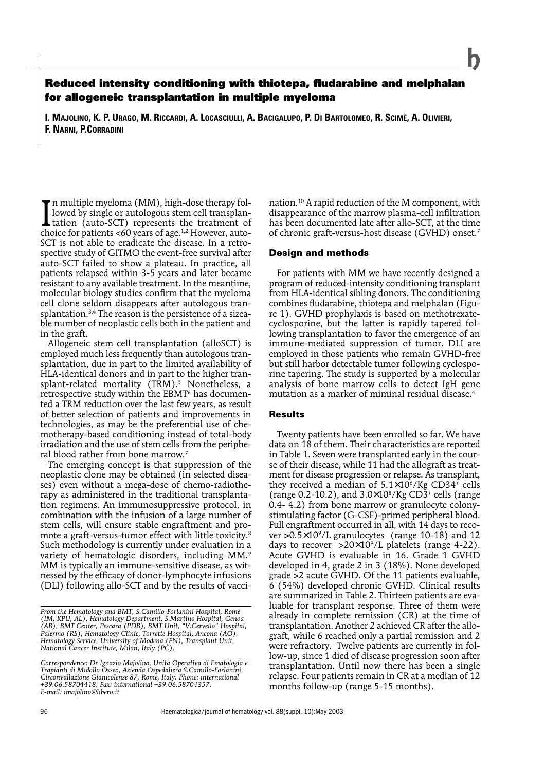# **Reduced intensity conditioning with thiotepa, fludarabine and melphalan for allogeneic transplantation in multiple myeloma**

**I. MAJOLINO, K. P. URAGO, M. RICCARDI, A. LOCASCIULLI, A. BACIGALUPO, P. DI BARTOLOMEO, R. SCIMÈ, A. OLIVIERI, F. NARNI, P.CORRADINI**

In multiple myeloma (MM), high-dose therapy followed by single or autologous stem cell transplantation (auto-SCT) represents the treatment of choice for patients <60 years of age.<sup>1,2</sup> However, auton multiple myeloma (MM), high-dose therapy followed by single or autologous stem cell transplantation (auto-SCT) represents the treatment of SCT is not able to eradicate the disease. In a retrospective study of GITMO the event-free survival after auto-SCT failed to show a plateau. In practice, all patients relapsed within 3-5 years and later became resistant to any available treatment. In the meantime, molecular biology studies confirm that the myeloma cell clone seldom disappears after autologous transplantation.3,4 The reason is the persistence of a sizeable number of neoplastic cells both in the patient and in the graft.

Allogeneic stem cell transplantation (alloSCT) is employed much less frequently than autologous transplantation, due in part to the limited availability of HLA-identical donors and in part to the higher transplant-related mortality (TRM).<sup>5</sup> Nonetheless, a retrospective study within the EBMT<sup>6</sup> has documented a TRM reduction over the last few years, as result of better selection of patients and improvements in technologies, as may be the preferential use of chemotherapy-based conditioning instead of total-body irradiation and the use of stem cells from the peripheral blood rather from bone marrow.7

The emerging concept is that suppression of the neoplastic clone may be obtained (in selected diseases) even without a mega-dose of chemo-radiotherapy as administered in the traditional transplantation regimens. An immunosuppressive protocol, in combination with the infusion of a large number of stem cells, will ensure stable engraftment and promote a graft-versus-tumor effect with little toxicity.8 Such methodology is currently under evaluation in a variety of hematologic disorders, including MM.<sup>9</sup> MM is typically an immune-sensitive disease, as witnessed by the efficacy of donor-lymphocyte infusions (DLI) following allo-SCT and by the results of vaccination.10 A rapid reduction of the M component, with disappearance of the marrow plasma-cell infiltration has been documented late after allo-SCT, at the time of chronic graft-versus-host disease (GVHD) onset.7

## **Design and methods**

For patients with MM we have recently designed a program of reduced-intensity conditioning transplant from HLA-identical sibling donors. The conditioning combines fludarabine, thiotepa and melphalan (Figure 1). GVHD prophylaxis is based on methotrexatecyclosporine, but the latter is rapidly tapered following transplantation to favor the emergence of an immune-mediated suppression of tumor. DLI are employed in those patients who remain GVHD-free but still harbor detectable tumor following cyclosporine tapering. The study is supported by a molecular analysis of bone marrow cells to detect IgH gene mutation as a marker of miminal residual disease.4

# **Results**

Twenty patients have been enrolled so far. We have data on 18 of them. Their characteristics are reported in Table 1. Seven were transplanted early in the course of their disease, while 11 had the allograft as treatment for disease progression or relapse. As transplant, they received a median of  $5.1 \times 10^6$ /Kg CD34<sup>+</sup> cells (range 0.2-10.2), and  $3.0 \times 10^8$ /Kg CD3<sup>+</sup> cells (range 0.4- 4.2) from bone marrow or granulocyte colonystimulating factor (G-CSF)-primed peripheral blood. Full engraftment occurred in all, with 14 days to recover  $>0.5\times10^9$ /L granulocytes (range 10-18) and 12 days to recover  $>20\times10^9$ /L platelets (range 4-22). Acute GVHD is evaluable in 16. Grade 1 GVHD developed in 4, grade 2 in 3 (18%). None developed grade >2 acute GVHD. Of the 11 patients evaluable, 6 (54%) developed chronic GVHD. Clinical results are summarized in Table 2. Thirteen patients are evaluable for transplant response. Three of them were already in complete remission (CR) at the time of transplantation. Another 2 achieved CR after the allograft, while 6 reached only a partial remission and 2 were refractory. Twelve patients are currently in follow-up, since 1 died of disease progression soon after transplantation. Until now there has been a single relapse. Four patients remain in CR at a median of 12 months follow-up (range 5-15 months).

*From the Hematology and BMT, S.Camillo-Forlanini Hospital, Rome (IM, KPU, AL), Hematology Department, S.Martino Hospital, Genoa (AB), BMT Center, Pescara (PDB), BMT Unit, "V.Cervello" Hospital, Palermo (RS), Hematology Clinic, Torrette Hospital, Ancona (AO), Hematology Service, University of Modena (FN), Transplant Unit, National Cancer Institute, Milan, Italy (PC).*

*Correspondence: Dr Ignazio Majolino, Unità Operativa di Ematologia e Trapianti di Midollo Osseo, Azienda Ospedaliera S.Camillo-Forlanini, Circonvallazione Gianicolense 87, Rome, Italy. Phone: international +39.06.58704418. Fax: international +39.06.58704357. E-mail: imajolino@libero.it*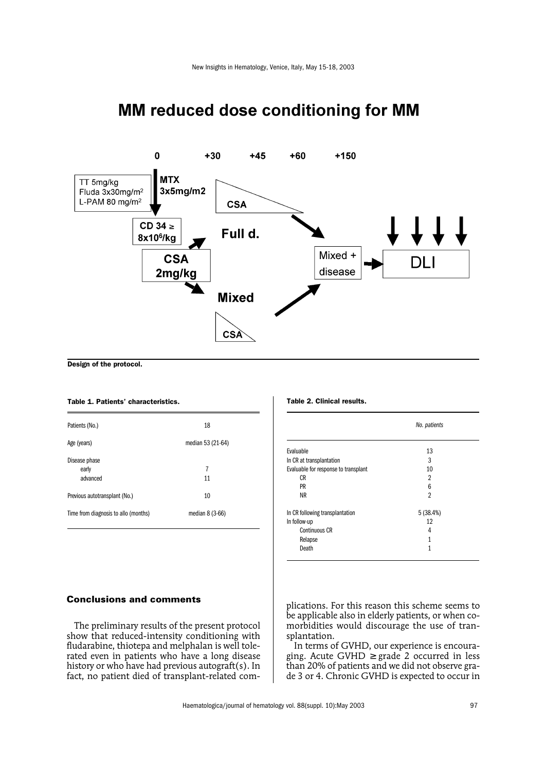

# MM reduced dose conditioning for MM

Design of the protocol.

#### Table 1. Patients' characteristics.

| Patients (No.)                       | 18                |
|--------------------------------------|-------------------|
| Age (years)                          | median 53 (21-64) |
| Disease phase<br>early<br>advanced   | 7<br>11           |
| Previous autotransplant (No.)        | 10                |
| Time from diagnosis to allo (months) | median $8(3-66)$  |

# **Conclusions and comments**

The preliminary results of the present protocol show that reduced-intensity conditioning with fludarabine, thiotepa and melphalan is well tolerated even in patients who have a long disease history or who have had previous autograft(s). In fact, no patient died of transplant-related com-

#### Table 2. Clinical results.

|                                      | No. patients   |
|--------------------------------------|----------------|
| Evaluable                            | 13             |
| In CR at transplantation             | 3              |
| Evaluable for response to transplant | 10             |
| <b>CR</b>                            | $\overline{2}$ |
| PR                                   | 6              |
| <b>NR</b>                            | 2              |
| In CR following transplantation      | 5(38.4%)       |
| In follow-up                         | 12             |
| Continuous CR                        | 4              |
| Relapse                              | 1              |
| Death                                | 1              |

plications. For this reason this scheme seems to be applicable also in elderly patients, or when comorbidities would discourage the use of transplantation.

In terms of GVHD, our experience is encouraging. Acute GVHD  $\geq$  grade 2 occurred in less than 20% of patients and we did not observe grade 3 or 4. Chronic GVHD is expected to occur in